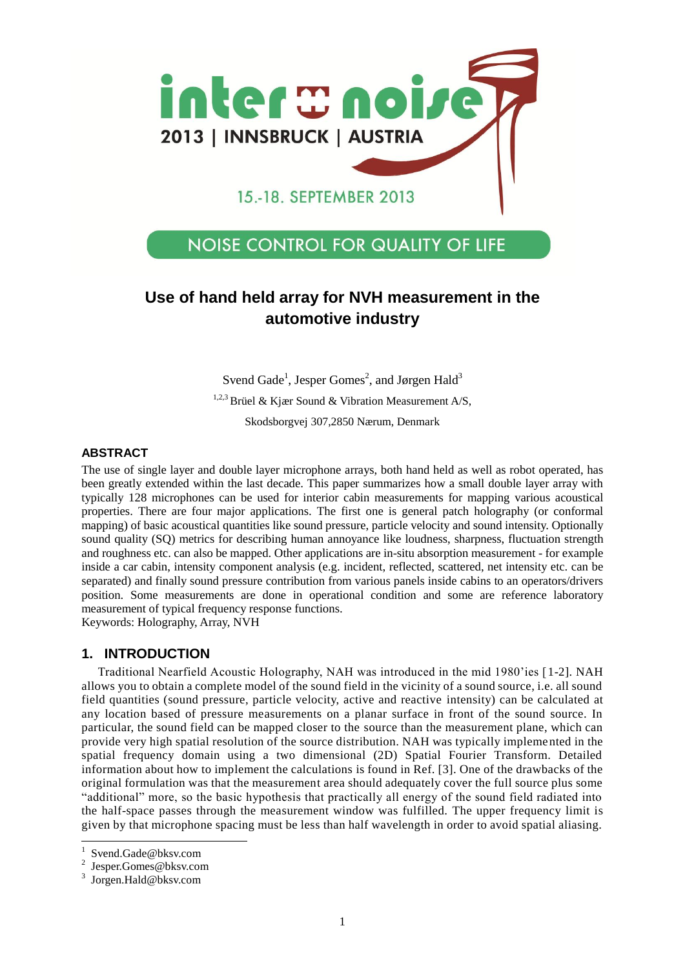

# **NOISE CONTROL FOR QUALITY OF LIFE**

# **Use of hand held array for NVH measurement in the automotive industry**

Svend Gade<sup>1</sup>, Jesper Gomes<sup>2</sup>, and Jørgen Hald<sup>3</sup> <sup>1,2,3</sup> Brüel & Kjær Sound & Vibration Measurement A/S, Skodsborgvej 307,2850 Nærum, Denmark

## **ABSTRACT**

The use of single layer and double layer microphone arrays, both hand held as well as robot operated, has been greatly extended within the last decade. This paper summarizes how a small double layer array with typically 128 microphones can be used for interior cabin measurements for mapping various acoustical properties. There are four major applications. The first one is general patch holography (or conformal mapping) of basic acoustical quantities like sound pressure, particle velocity and sound intensity. Optionally sound quality (SQ) metrics for describing human annoyance like loudness, sharpness, fluctuation strength and roughness etc. can also be mapped. Other applications are in-situ absorption measurement - for example inside a car cabin, intensity component analysis (e.g. incident, reflected, scattered, net intensity etc. can be separated) and finally sound pressure contribution from various panels inside cabins to an operators/drivers position. Some measurements are done in operational condition and some are reference laboratory measurement of typical frequency response functions.

Keywords: Holography, Array, NVH

### **1. INTRODUCTION**

Traditional Nearfield Acoustic Holography, NAH was introduced in the mid 1980'ies [1-2]. NAH allows you to obtain a complete model of the sound field in the vicinity of a sound source, i.e. all sound field quantities (sound pressure, particle velocity, active and reactive intensity) can be calculated at any location based of pressure measurements on a planar surface in front of the sound source. In particular, the sound field can be mapped closer to the source than the measurement plane, which can provide very high spatial resolution of the source distribution. NAH was typically implemented in the spatial frequency domain using a two dimensional (2D) Spatial Fourier Transform. Detailed information about how to implement the calculations is found in Ref. [3]. One of the drawbacks of the original formulation was that the measurement area should adequately cover the full source plus some "additional" more, so the basic hypothesis that practically all energy of the sound field radiated into the half-space passes through the measurement window was fulfilled. The upper frequency limit is given by that microphone spacing must be less than half wavelength in order to avoid spatial aliasing.

 $\overline{a}$ 

<sup>1</sup> Svend.Gade@bksv.com

<sup>2</sup> Jesper.Gomes@bksv.com

<sup>3</sup> Jorgen.Hald@bksv.com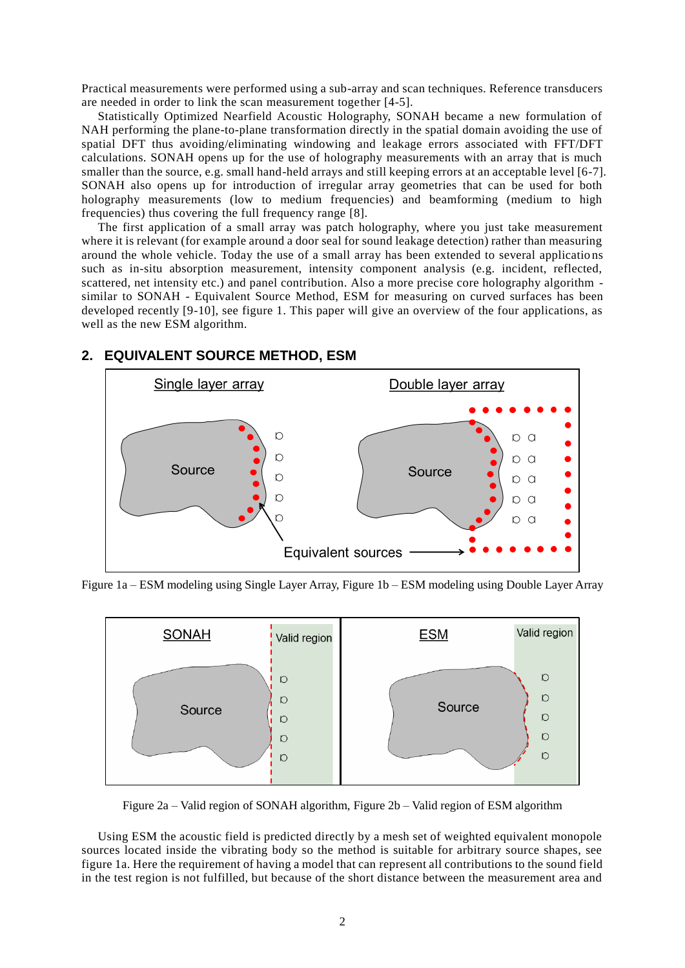Practical measurements were performed using a sub-array and scan techniques. Reference transducers are needed in order to link the scan measurement together [4-5].

Statistically Optimized Nearfield Acoustic Holography, SONAH became a new formulation of NAH performing the plane-to-plane transformation directly in the spatial domain avoiding the use of spatial DFT thus avoiding/eliminating windowing and leakage errors associated with FFT/DFT calculations. SONAH opens up for the use of holography measurements with an array that is much smaller than the source, e.g. small hand-held arrays and still keeping errors at an acceptable level [6-7]. SONAH also opens up for introduction of irregular array geometries that can be used for both holography measurements (low to medium frequencies) and beamforming (medium to high frequencies) thus covering the full frequency range [8].

The first application of a small array was patch holography, where you just take measurement where it is relevant (for example around a door seal for sound leakage detection) rather than measuring around the whole vehicle. Today the use of a small array has been extended to several applicatio ns such as in-situ absorption measurement, intensity component analysis (e.g. incident, reflected, scattered, net intensity etc.) and panel contribution. Also a more precise core holography algorithm similar to SONAH - Equivalent Source Method, ESM for measuring on curved surfaces has been developed recently [9-10], see figure 1. This paper will give an overview of the four applications, as well as the new ESM algorithm.



## **2. EQUIVALENT SOURCE METHOD, ESM**

Figure 1a – ESM modeling using Single Layer Array, Figure 1b – ESM modeling using Double Layer Array



Figure 2a – Valid region of SONAH algorithm, Figure 2b – Valid region of ESM algorithm

Using ESM the acoustic field is predicted directly by a mesh set of weighted equivalent monopole sources located inside the vibrating body so the method is suitable for arbitrary source shapes, see figure 1a. Here the requirement of having a model that can represent all contributions to the sound field in the test region is not fulfilled, but because of the short distance between the measurement area and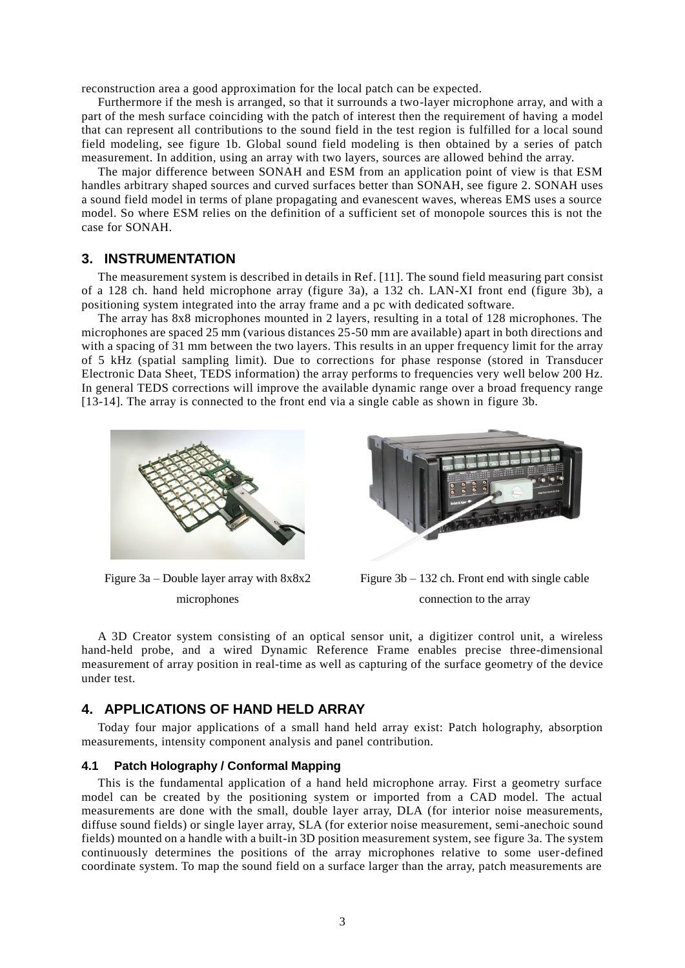reconstruction area a good approximation for the local patch can be expected.

Furthermore if the mesh is arranged, so that it surrounds a two-layer microphone array, and with a part of the mesh surface coinciding with the patch of interest then the requirement of having a model that can represent all contributions to the sound field in the test region is fulfilled for a local sound field modeling, see figure 1b. Global sound field modeling is then obtained by a series of patch measurement. In addition, using an array with two layers, sources are allowed behind the array.

The major difference between SONAH and ESM from an application point of view is that ESM handles arbitrary shaped sources and curved surfaces better than SONAH, see figure 2. SONAH uses a sound field model in terms of plane propagating and evanescent waves, whereas EMS uses a source model. So where ESM relies on the definition of a sufficient set of monopole sources this is not the case for SONAH.

## **3. INSTRUMENTATION**

The measurement system is described in details in Ref. [11]. The sound field measuring part consist of a 128 ch. hand held microphone array (figure 3a), a 132 ch. LAN-XI front end (figure 3b), a positioning system integrated into the array frame and a pc with dedicated software.

The array has 8x8 microphones mounted in 2 layers, resulting in a total of 128 microphones. The microphones are spaced 25 mm (various distances 25-50 mm are available) apart in both directions and with a spacing of 31 mm between the two layers. This results in an upper frequency limit for the array of 5 kHz (spatial sampling limit). Due to corrections for phase response (stored in Transducer Electronic Data Sheet, TEDS information) the array performs to frequencies very well below 200 Hz. In general TEDS corrections will improve the available dynamic range over a broad frequency range [13-14]. The array is connected to the front end via a single cable as shown in figure 3b.



Figure 3a – Double layer array with 8x8x2 microphones



Figure 3b – 132 ch. Front end with single cable connection to the array

A 3D Creator system consisting of an optical sensor unit, a digitizer control unit, a wireless hand-held probe, and a wired Dynamic Reference Frame enables precise three-dimensional measurement of array position in real-time as well as capturing of the surface geometry of the device under test.

## **4. APPLICATIONS OF HAND HELD ARRAY**

Today four major applications of a small hand held array exist: Patch holography, absorption measurements, intensity component analysis and panel contribution.

#### **4.1 Patch Holography / Conformal Mapping**

This is the fundamental application of a hand held microphone array. First a geometry surface model can be created by the positioning system or imported from a CAD model. The actual measurements are done with the small, double layer array, DLA (for interior noise measurements, diffuse sound fields) or single layer array, SLA (for exterior noise measurement, semi-anechoic sound fields) mounted on a handle with a built-in 3D position measurement system, see figure 3a. The system continuously determines the positions of the array microphones relative to some user-defined coordinate system. To map the sound field on a surface larger than the array, patch measurements are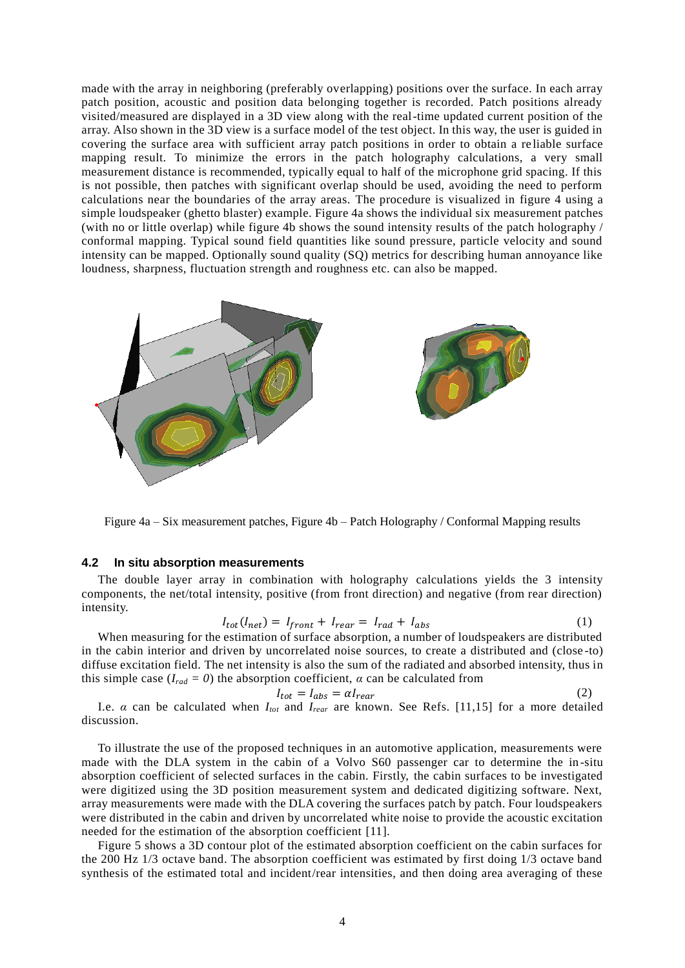made with the array in neighboring (preferably overlapping) positions over the surface. In each array patch position, acoustic and position data belonging together is recorded. Patch positions already visited/measured are displayed in a 3D view along with the real-time updated current position of the array. Also shown in the 3D view is a surface model of the test object. In this way, the user is guided in covering the surface area with sufficient array patch positions in order to obtain a re liable surface mapping result. To minimize the errors in the patch holography calculations, a very small measurement distance is recommended, typically equal to half of the microphone grid spacing. If this is not possible, then patches with significant overlap should be used, avoiding the need to perform calculations near the boundaries of the array areas. The procedure is visualized in figure 4 using a simple loudspeaker (ghetto blaster) example. Figure 4a shows the individual six measurement patches (with no or little overlap) while figure 4b shows the sound intensity results of the patch holography / conformal mapping. Typical sound field quantities like sound pressure, particle velocity and sound intensity can be mapped. Optionally sound quality (SQ) metrics for describing human annoyance like loudness, sharpness, fluctuation strength and roughness etc. can also be mapped.



Figure 4a – Six measurement patches, Figure 4b – Patch Holography / Conformal Mapping results

#### **4.2 In situ absorption measurements**

The double layer array in combination with holography calculations yields the 3 intensity components, the net/total intensity, positive (from front direction) and negative (from rear direction) intensity.

$$
I_{tot}(I_{net}) = I_{front} + I_{rear} = I_{rad} + I_{abs}
$$
 (1)

When measuring for the estimation of surface absorption, a number of loudspeakers are distributed in the cabin interior and driven by uncorrelated noise sources, to create a distributed and (close -to) diffuse excitation field. The net intensity is also the sum of the radiated and absorbed intensity, thus in this simple case ( $I_{rad} = 0$ ) the absorption coefficient,  $\alpha$  can be calculated from

$$
I_{tot} = I_{abs} = \alpha I_{rear} \tag{2}
$$

I.e. *α* can be calculated when *Itot* and *Irear* are known. See Refs. [11,15] for a more detailed discussion.

To illustrate the use of the proposed techniques in an automotive application, measurements were made with the DLA system in the cabin of a Volvo S60 passenger car to determine the in -situ absorption coefficient of selected surfaces in the cabin. Firstly, the cabin surfaces to be investigated were digitized using the 3D position measurement system and dedicated digitizing software. Next, array measurements were made with the DLA covering the surfaces patch by patch. Four loudspeakers were distributed in the cabin and driven by uncorrelated white noise to provide the acoustic excitation needed for the estimation of the absorption coefficient [11].

Figure 5 shows a 3D contour plot of the estimated absorption coefficient on the cabin surfaces for the 200 Hz 1/3 octave band. The absorption coefficient was estimated by first doing 1/3 octave band synthesis of the estimated total and incident/rear intensities, and then doing area averaging of these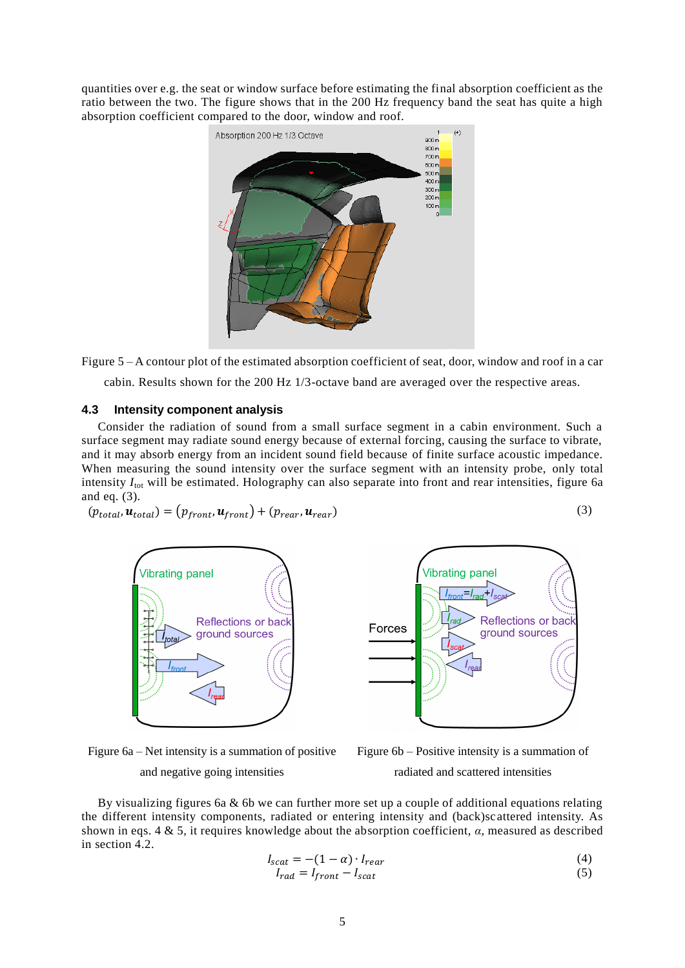quantities over e.g. the seat or window surface before estimating the final absorption coefficient as the ratio between the two. The figure shows that in the 200 Hz frequency band the seat has quite a high absorption coefficient compared to the door, window and roof.



Figure 5 – A contour plot of the estimated absorption coefficient of seat, door, window and roof in a car cabin. Results shown for the 200 Hz 1/3-octave band are averaged over the respective areas.

#### **4.3 Intensity component analysis**

Consider the radiation of sound from a small surface segment in a cabin environment. Such a surface segment may radiate sound energy because of external forcing, causing the surface to vibrate, and it may absorb energy from an incident sound field because of finite surface acoustic impedance. When measuring the sound intensity over the surface segment with an intensity probe, only total intensity *I*<sub>tot</sub> will be estimated. Holography can also separate into front and rear intensities, figure 6a and eq. (3).

$$
(p_{total}, \mathbf{u}_{total}) = (p_{front}, \mathbf{u}_{front}) + (p_{rear}, \mathbf{u}_{rear})
$$
\n(3)

Vibrating panel\n  
\nReflections or back ground sources\n  
\n
$$
T_{\text{front}}
$$
\n
$$
T_{\text{real}}
$$



Vibrating panel

Figure 6a – Net intensity is a summation of positive and negative going intensities



By visualizing figures 6a  $\&$  6b we can further more set up a couple of additional equations relating the different intensity components, radiated or entering intensity and (back)scattered intensity. As shown in eqs. 4 & 5, it requires knowledge about the absorption coefficient, *α,* measured as described in section 4.2.

$$
I_{scat} = -(1 - \alpha) \cdot I_{rear} \tag{4}
$$

$$
I_{rad} = I_{front} - I_{scat} \tag{5}
$$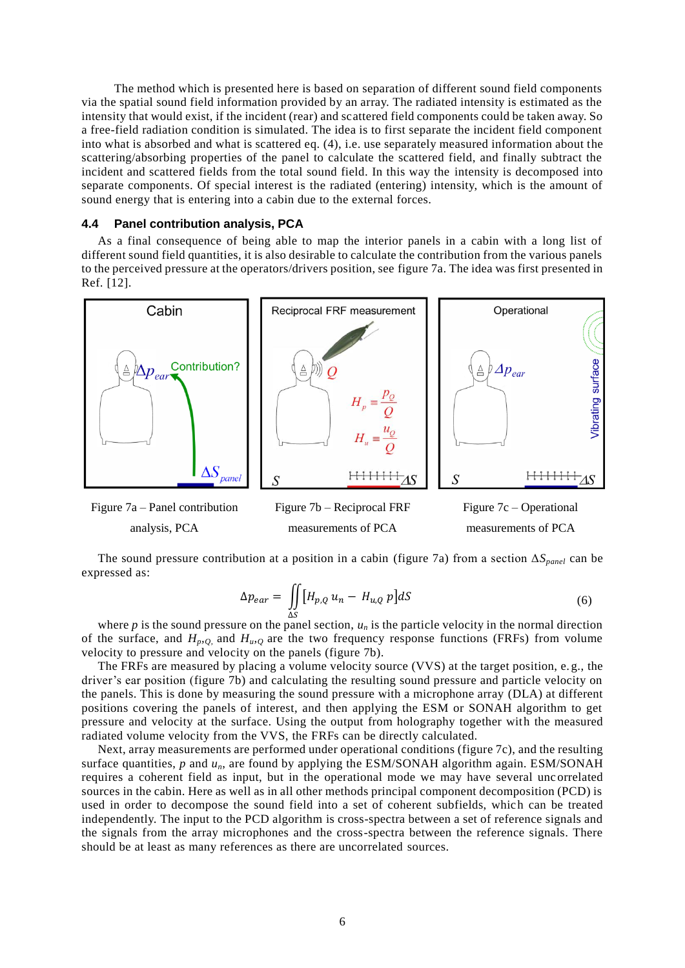The method which is presented here is based on separation of different sound field components via the spatial sound field information provided by an array. The radiated intensity is estimated as the intensity that would exist, if the incident (rear) and scattered field components could be taken away. So a free-field radiation condition is simulated. The idea is to first separate the incident field component into what is absorbed and what is scattered eq. (4), i.e. use separately measured information about the scattering/absorbing properties of the panel to calculate the scattered field, and finally subtract the incident and scattered fields from the total sound field. In this way the intensity is decomposed into separate components. Of special interest is the radiated (entering) intensity, which is the amount of sound energy that is entering into a cabin due to the external forces.

#### **4.4 Panel contribution analysis, PCA**

As a final consequence of being able to map the interior panels in a cabin with a long list of different sound field quantities, it is also desirable to calculate the contribution from the various panels to the perceived pressure at the operators/drivers position, see figure 7a. The idea was first presented in Ref. [12].



analysis, PCA



The sound pressure contribution at a position in a cabin (figure 7a) from a section Δ*Spanel* can be expressed as:

$$
\Delta p_{ear} = \iint\limits_{\Delta S} \left[ H_{p,Q} u_n - H_{u,Q} p \right] dS \tag{6}
$$

where  $p$  is the sound pressure on the panel section,  $u_n$  is the particle velocity in the normal direction of the surface, and  $H_{p,Q}$  and  $H_{u,Q}$  are the two frequency response functions (FRFs) from volume velocity to pressure and velocity on the panels (figure 7b).

The FRFs are measured by placing a volume velocity source (VVS) at the target position, e. g., the driver's ear position (figure 7b) and calculating the resulting sound pressure and particle velocity on the panels. This is done by measuring the sound pressure with a microphone array (DLA) at different positions covering the panels of interest, and then applying the ESM or SONAH algorithm to get pressure and velocity at the surface. Using the output from holography together with the measured radiated volume velocity from the VVS, the FRFs can be directly calculated.

Next, array measurements are performed under operational conditions (figure 7c), and the resulting surface quantities, *p* and *un*, are found by applying the ESM/SONAH algorithm again. ESM/SONAH requires a coherent field as input, but in the operational mode we may have several uncorrelated sources in the cabin. Here as well as in all other methods principal component decomposition (PCD) is used in order to decompose the sound field into a set of coherent subfields, which can be treated independently. The input to the PCD algorithm is cross-spectra between a set of reference signals and the signals from the array microphones and the cross-spectra between the reference signals. There should be at least as many references as there are uncorrelated sources.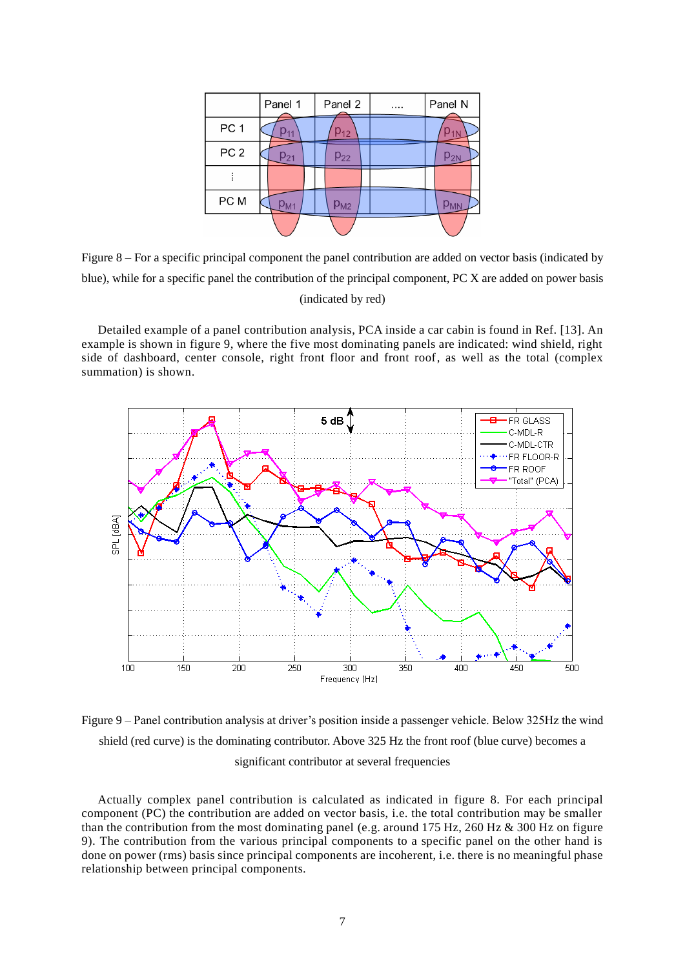|                 | Panel 1  | Panel 2  | <br>Panel N |
|-----------------|----------|----------|-------------|
| PC <sub>1</sub> |          | $p_{12}$ |             |
| PC <sub>2</sub> | $p_{21}$ | $p_{22}$ | $p_{2N}$    |
|                 |          |          |             |
| PC M            | $p_{M1}$ | $p_{M2}$ |             |
|                 |          |          |             |

Figure 8 – For a specific principal component the panel contribution are added on vector basis (indicated by blue), while for a specific panel the contribution of the principal component, PC X are added on power basis (indicated by red)

Detailed example of a panel contribution analysis, PCA inside a car cabin is found in Ref. [13]. An example is shown in figure 9, where the five most dominating panels are indicated: wind shield, right side of dashboard, center console, right front floor and front roof, as well as the total (complex summation) is shown.



Figure 9 – Panel contribution analysis at driver's position inside a passenger vehicle. Below 325Hz the wind shield (red curve) is the dominating contributor. Above 325 Hz the front roof (blue curve) becomes a significant contributor at several frequencies

Actually complex panel contribution is calculated as indicated in figure 8. For each principal component (PC) the contribution are added on vector basis, i.e. the total contribution may be smaller than the contribution from the most dominating panel (e.g. around 175 Hz, 260 Hz  $\&$  300 Hz on figure 9). The contribution from the various principal components to a specific panel on the other hand is done on power (rms) basis since principal components are incoherent, i.e. there is no meaningful phase relationship between principal components.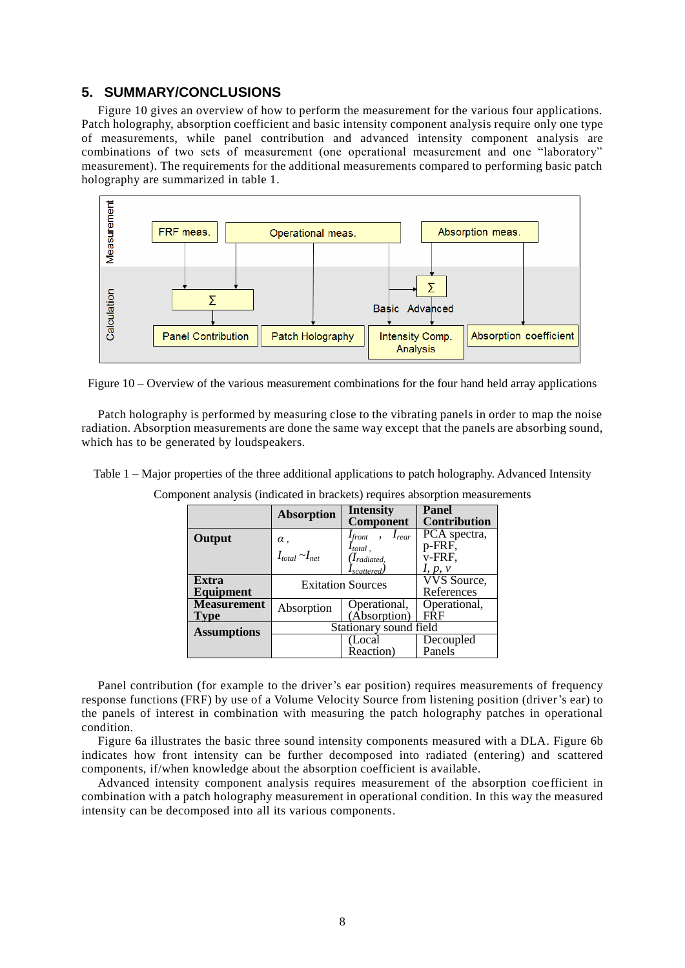## **5. SUMMARY/CONCLUSIONS**

Figure 10 gives an overview of how to perform the measurement for the various four applications. Patch holography, absorption coefficient and basic intensity component analysis require only one type of measurements, while panel contribution and advanced intensity component analysis are combinations of two sets of measurement (one operational measurement and one "laboratory" measurement). The requirements for the additional measurements compared to performing basic patch holography are summarized in table 1.



Figure 10 – Overview of the various measurement combinations for the four hand held array applications

Patch holography is performed by measuring close to the vibrating panels in order to map the noise radiation. Absorption measurements are done the same way except that the panels are absorbing sound, which has to be generated by loudspeakers.

Table 1 – Major properties of the three additional applications to patch holography. Advanced Intensity

|                    | <b>Absorption</b>        | <b>Intensity</b><br>Component      | <b>Panel</b><br><b>Contribution</b> |  |
|--------------------|--------------------------|------------------------------------|-------------------------------------|--|
| Output             | $\alpha$ ,               | $I_{front}$ , $I_{rear}$           | PCA spectra,                        |  |
|                    | $I_{total} \sim I_{net}$ | $I_{total}$ ,<br>$(I_{radiated,})$ | p-FRF,<br>v-FRF,                    |  |
|                    |                          | $I_{scattered}$                    | I, p, v                             |  |
| Extra              | <b>Exitation Sources</b> |                                    | <b>VVS</b> Source,                  |  |
| Equipment          |                          |                                    | References                          |  |
| <b>Measurement</b> | Absorption               | Operational,                       | Operational,                        |  |
| Type               |                          | (Absorption)                       | <b>FRF</b>                          |  |
| <b>Assumptions</b> | Stationary sound field   |                                    |                                     |  |
|                    |                          | (Local                             | Decoupled                           |  |
|                    |                          | Reaction)                          | Panels                              |  |

Component analysis (indicated in brackets) requires absorption measurements

Panel contribution (for example to the driver's ear position) requires measurements of frequency response functions (FRF) by use of a Volume Velocity Source from listening position (driver's ear) to the panels of interest in combination with measuring the patch holography patches in operational condition.

Figure 6a illustrates the basic three sound intensity components measured with a DLA. Figure 6b indicates how front intensity can be further decomposed into radiated (entering) and scattered components, if/when knowledge about the absorption coefficient is available.

Advanced intensity component analysis requires measurement of the absorption coefficient in combination with a patch holography measurement in operational condition. In this way the measured intensity can be decomposed into all its various components.